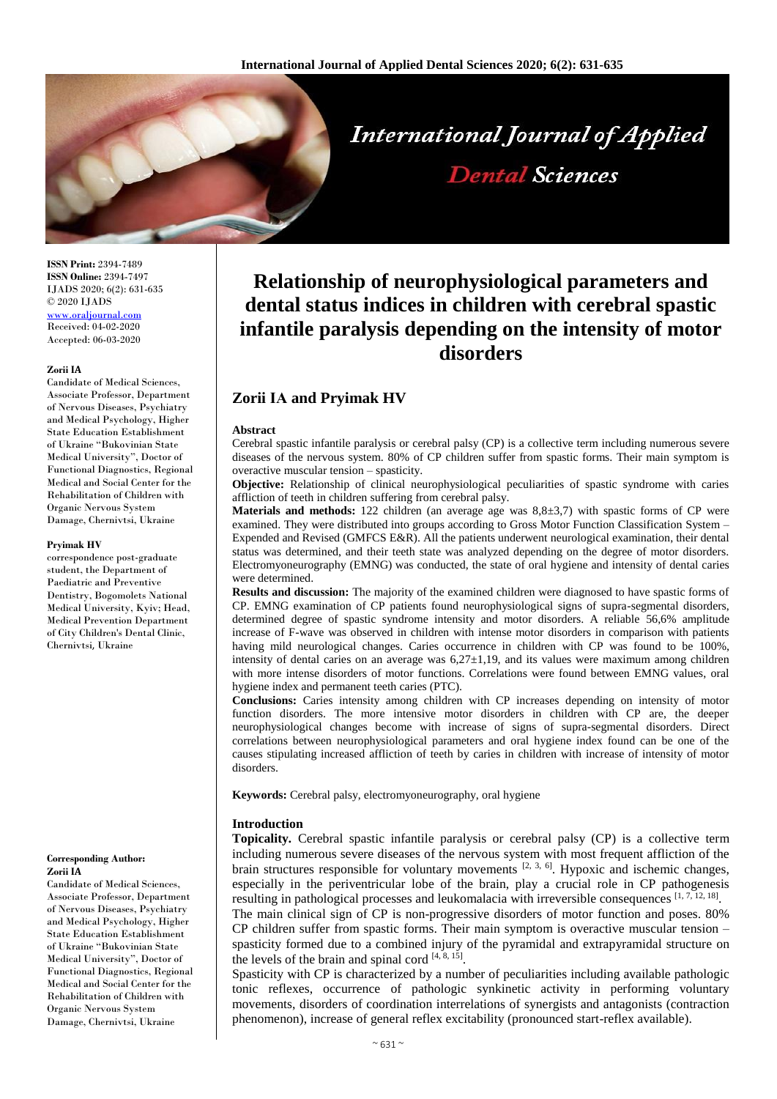

**ISSN Print:** 2394-7489 **ISSN Online:** 2394-7497 IJADS 2020; 6(2): 631-635 © 2020 IJADS <www.oraljournal.com> Received: 04-02-2020 Accepted: 06-03-2020

#### **Zorii ІА**

Candidate of Medical Sciences, Associate Professor, Department of Nervous Diseases, Psychiatry and Medical Psychology, Higher State Education Establishment of Ukraine "Bukovinian State Medical University", Doctor of Functional Diagnostics, Regional Medical and Social Center for the Rehabilitation of Children with Organic Nervous System Damage, Chernivtsi, Ukraine

#### **Pryimak HV**

correspondence post-graduate student, the Department of Paediatric and Preventive Dentistry, Bogomolets National Medical University, Kyiv; Head, Medical Prevention Department of City Children's Dental Clinic, Chernivtsi, Ukraine

#### **Corresponding Author: Zorii ІА**

Candidate of Medical Sciences, Associate Professor, Department of Nervous Diseases, Psychiatry and Medical Psychology, Higher State Education Establishment of Ukraine "Bukovinian State Medical University", Doctor of Functional Diagnostics, Regional Medical and Social Center for the Rehabilitation of Children with Organic Nervous System Damage, Chernivtsi, Ukraine

# **Relationship of neurophysiological parameters and dental status indices in children with cerebral spastic infantile paralysis depending on the intensity of motor disorders**

# **Zorii ІА and Pryimak HV**

#### **Abstract**

Cerebral spastic infantile paralysis or cerebral palsy (CP) is a collective term including numerous severe diseases of the nervous system. 80% of CP children suffer from spastic forms. Their main symptom is overactive muscular tension – spasticity.

**Objective:** Relationship of clinical neurophysiological peculiarities of spastic syndrome with caries affliction of teeth in children suffering from cerebral palsy.

**Materials and methods:** 122 children (an average age was 8,8±3,7) with spastic forms of CP were examined. They were distributed into groups according to Gross Motor Function Classification System – Expended and Revised (GMFCS E&R). All the patients underwent neurological examination, their dental status was determined, and their teeth state was analyzed depending on the degree of motor disorders. Electromyoneurography (EMNG) was conducted, the state of oral hygiene and intensity of dental caries were determined.

**Results and discussion:** The majority of the examined children were diagnosed to have spastic forms of CP. EMNG examination of CP patients found neurophysiological signs of supra-segmental disorders, determined degree of spastic syndrome intensity and motor disorders. A reliable 56,6% amplitude increase of F-wave was observed in children with intense motor disorders in comparison with patients having mild neurological changes. Caries occurrence in children with CP was found to be 100%, intensity of dental caries on an average was  $6,27\pm1,19$ , and its values were maximum among children with more intense disorders of motor functions. Correlations were found between EMNG values, oral hygiene index and permanent teeth caries (PTC).

**Conclusions:** Caries intensity among children with CP increases depending on intensity of motor function disorders. The more intensive motor disorders in children with CP are, the deeper neurophysiological changes become with increase of signs of supra-segmental disorders. Direct correlations between neurophysiological parameters and oral hygiene index found can be one of the causes stipulating increased affliction of teeth by caries in children with increase of intensity of motor disorders.

**Keywords:** Cerebral palsy, electromyoneurography, oral hygiene

## **Introduction**

**Topicality***.* Cerebral spastic infantile paralysis or cerebral palsy (CP) is a collective term including numerous severe diseases of the nervous system with most frequent affliction of the brain structures responsible for voluntary movements  $[2, 3, 6]$ . Hypoxic and ischemic changes, especially in the periventricular lobe of the brain, play a crucial role in CP pathogenesis resulting in pathological processes and leukomalacia with irreversible consequences [1, 7, 12, 18].

The main clinical sign of CP is non-progressive disorders of motor function and poses. 80% CP children suffer from spastic forms. Their main symptom is overactive muscular tension – spasticity formed due to a combined injury of the pyramidal and extrapyramidal structure on the levels of the brain and spinal cord  $[4, 8, 15]$ .

Spasticity with CP is characterized by a number of peculiarities including available pathologic tonic reflexes, occurrence of pathologic synkinetic activity in performing voluntary movements, disorders of coordination interrelations of synergists and antagonists (contraction phenomenon), increase of general reflex excitability (pronounced start-reflex available).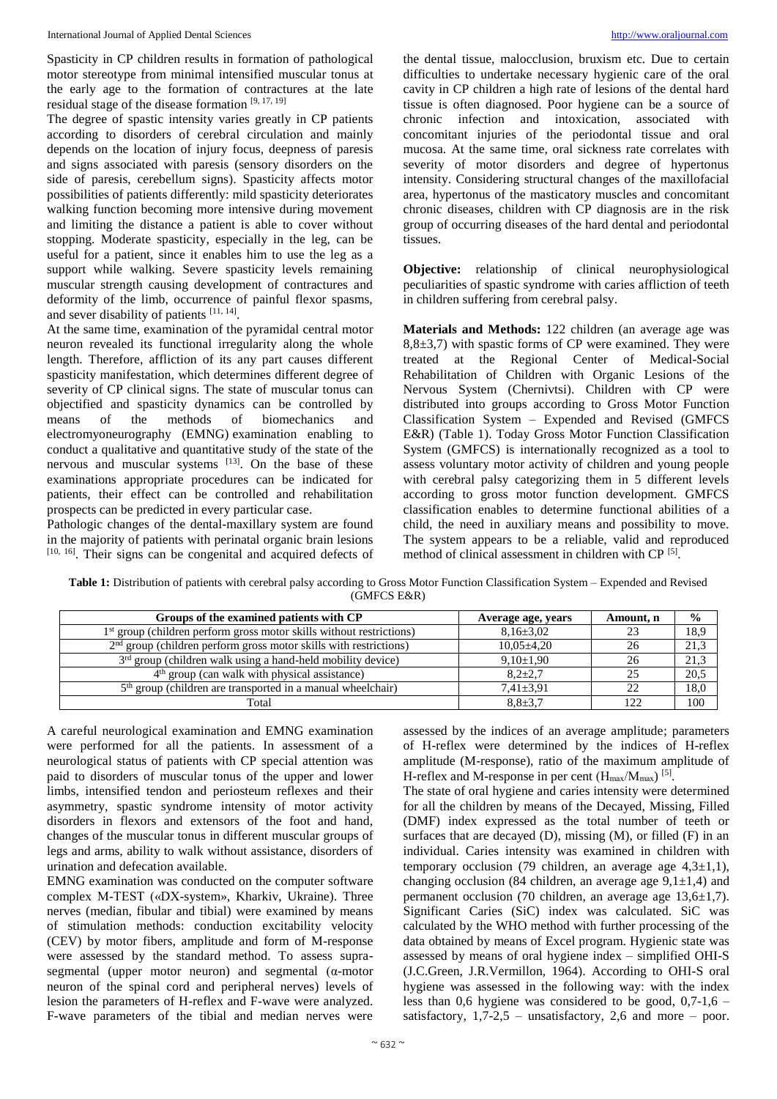Spasticity in CP children results in formation of pathological motor stereotype from minimal intensified muscular tonus at the early age to the formation of contractures at the late residual stage of the disease formation [9, 17, 19]

The degree of spastic intensity varies greatly in CP patients according to disorders of cerebral circulation and mainly depends on the location of injury focus, deepness of paresis and signs associated with paresis (sensory disorders on the side of paresis, cerebellum signs). Spasticity affects motor possibilities of patients differently: mild spasticity deteriorates walking function becoming more intensive during movement and limiting the distance a patient is able to cover without stopping. Moderate spasticity, especially in the leg, can be useful for a patient, since it enables him to use the leg as a support while walking. Severe spasticity levels remaining muscular strength causing development of contractures and deformity of the limb, occurrence of painful flexor spasms, and sever disability of patients  $[11, 14]$ .

At the same time, examination of the pyramidal central motor neuron revealed its functional irregularity along the whole length. Therefore, affliction of its any part causes different spasticity manifestation, which determines different degree of severity of CP clinical signs. The state of muscular tonus can objectified and spasticity dynamics can be controlled by means of the methods of biomechanics and electromyoneurography (EMNG) examination enabling to conduct a qualitative and quantitative study of the state of the nervous and muscular systems  $^{[13]}$ . On the base of these examinations appropriate procedures can be indicated for patients, their effect can be controlled and rehabilitation prospects can be predicted in every particular case.

Pathologic changes of the dental-maxillary system are found in the majority of patients with perinatal organic brain lesions [10, 16]. Their signs can be congenital and acquired defects of

the dental tissue, malocclusion, bruxism etc. Due to certain difficulties to undertake necessary hygienic care of the oral cavity in CP children a high rate of lesions of the dental hard tissue is often diagnosed. Poor hygiene can be a source of chronic infection and intoxication, associated with concomitant injuries of the periodontal tissue and oral mucosa. At the same time, oral sickness rate correlates with severity of motor disorders and degree of hypertonus intensity. Considering structural changes of the maxillofacial area, hypertonus of the masticatory muscles and concomitant chronic diseases, children with CP diagnosis are in the risk group of occurring diseases of the hard dental and periodontal tissues.

**Objective:** relationship of clinical neurophysiological peculiarities of spastic syndrome with caries affliction of teeth in children suffering from cerebral palsy.

**Materials and Methods:** 122 children (an average age was  $8,8\pm3,7$ ) with spastic forms of CP were examined. They were treated at the Regional Center of Medical-Social Rehabilitation of Children with Organic Lesions of the Nervous System (Chernivtsi). Children with CP were distributed into groups according to Gross Motor Function Classification System – Expended and Revised (GMFCS E&R) (Table 1). Today Gross Motor Function Classification System (GMFCS) is internationally recognized as a tool to assess voluntary motor activity of children and young people with cerebral palsy categorizing them in 5 different levels according to gross motor function development. GMFCS classification enables to determine functional abilities of a child, the need in auxiliary means and possibility to move. The system appears to be a reliable, valid and reproduced method of clinical assessment in children with CP<sup>[5]</sup>.

**Table 1:** Distribution of patients with cerebral palsy according to Gross Motor Function Classification System – Expended and Revised (GMFCS E&R)

| Groups of the examined patients with CP                                          | Average age, years | Amount, n | $\frac{0}{0}$ |
|----------------------------------------------------------------------------------|--------------------|-----------|---------------|
| 1 <sup>st</sup> group (children perform gross motor skills without restrictions) | $8,16\pm3,02$      |           | 18,9          |
| $2nd$ group (children perform gross motor skills with restrictions)              | $10,05\pm4,20$     | 26        | 21,3          |
| 3 <sup>rd</sup> group (children walk using a hand-held mobility device)          | $9,10\pm1,90$      | 26        | 21,3          |
| 4 <sup>th</sup> group (can walk with physical assistance)                        | $8.2 \pm 2.7$      |           | 20,5          |
| 5 <sup>th</sup> group (children are transported in a manual wheelchair)          | $7.41 \pm 3.91$    |           | 18,0          |
| Total                                                                            | $8.8 \pm 3.7$      |           | 100           |

A careful neurological examination and EMNG examination were performed for all the patients. In assessment of a neurological status of patients with CP special attention was paid to disorders of muscular tonus of the upper and lower limbs, intensified tendon and periosteum reflexes and their asymmetry, spastic syndrome intensity of motor activity disorders in flexors and extensors of the foot and hand, changes of the muscular tonus in different muscular groups of legs and arms, ability to walk without assistance, disorders of urination and defecation available.

EMNG examination was conducted on the computer software complex М-ТEST («DX-system», Kharkiv, Ukraine). Three nerves (median, fibular and tibial) were examined by means of stimulation methods: conduction excitability velocity (CEV) by motor fibers, amplitude and form of M-response were assessed by the standard method. To assess suprasegmental (upper motor neuron) and segmental ( $\alpha$ -motor neuron of the spinal cord and peripheral nerves) levels of lesion the parameters of H-reflex and F-wave were analyzed. F-wave parameters of the tibial and median nerves were

assessed by the indices of an average amplitude; parameters of Н-reflex were determined by the indices of Н-reflex amplitude (M-response), ratio of the maximum amplitude of H-reflex and M-response in per cent  $(H_{\text{max}}/M_{\text{max}})^{55}$ .

The state of oral hygiene and caries intensity were determined for all the children by means of the Decayed, Missing, Filled (DMF) index expressed as the total number of teeth or surfaces that are decayed  $(D)$ , missing  $(M)$ , or filled  $(F)$  in an individual. Caries intensity was examined in children with temporary occlusion (79 children, an average age  $4,3\pm1,1$ ), changing occlusion (84 children, an average age  $9,1\pm1,4$ ) and permanent occlusion (70 children, an average age 13,6±1,7). Significant Caries (SiC) index was calculated. SiC was calculated by the WHO method with further processing of the data obtained by means of Excel program. Hygienic state was assessed by means of oral hygiene index – simplified OHI-S (J.C.Green, J.R.Vermillon, 1964). According to OHI-S oral hygiene was assessed in the following way: with the index less than 0,6 hygiene was considered to be good,  $0.7-1.6$  – satisfactory,  $1,7-2,5$  – unsatisfactory, 2,6 and more – poor.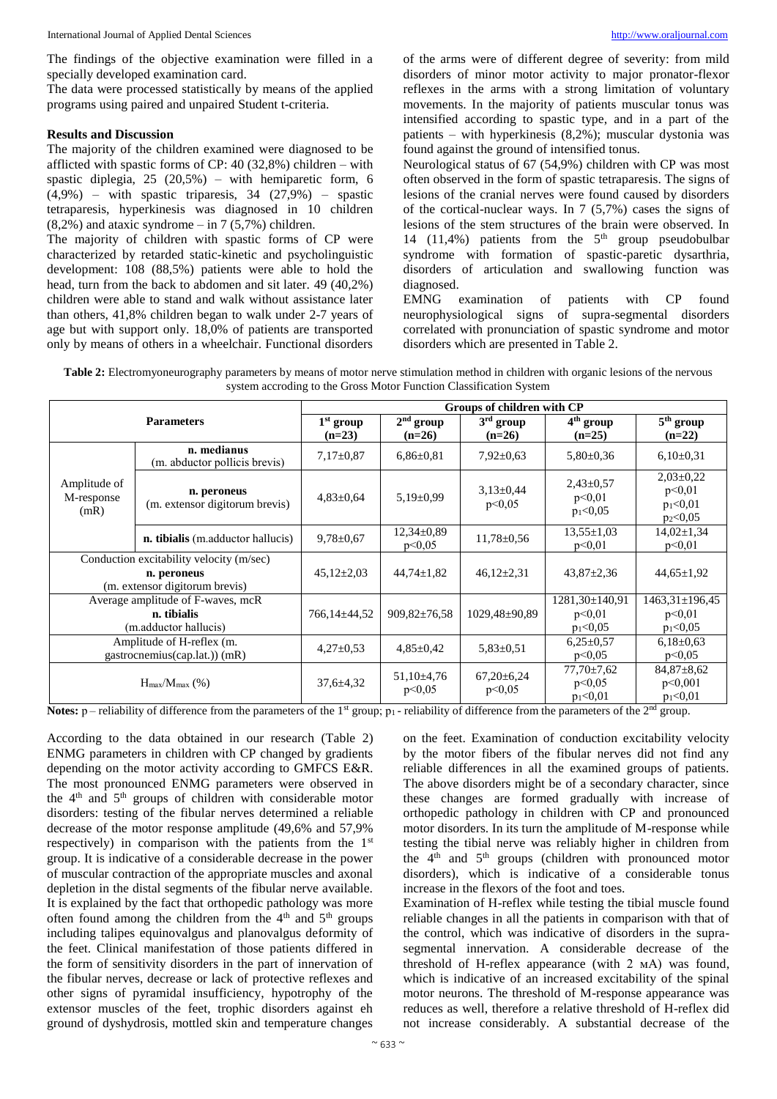The findings of the objective examination were filled in a specially developed examination card.

The data were processed statistically by means of the applied programs using paired and unpaired Student t-criteria.

#### **Results and Discussion**

The majority of the children examined were diagnosed to be afflicted with spastic forms of CP: 40 (32,8%) children – with spastic diplegia,  $25$   $(20.5\%)$  – with hemiparetic form, 6  $(4.9\%)$  – with spastic triparesis, 34 (27.9%) – spastic tetraparesis, hyperkinesis was diagnosed in 10 children  $(8,2\%)$  and ataxic syndrome – in 7 (5,7%) children.

The majority of children with spastic forms of CP were characterized by retarded static-kinetic and psycholinguistic development: 108 (88,5%) patients were able to hold the head, turn from the back to abdomen and sit later. 49 (40,2%) children were able to stand and walk without assistance later than others, 41,8% children began to walk under 2-7 years of age but with support only. 18,0% of patients are transported only by means of others in a wheelchair. Functional disorders of the arms were of different degree of severity: from mild disorders of minor motor activity to major pronator-flexor reflexes in the arms with a strong limitation of voluntary movements. In the majority of patients muscular tonus was intensified according to spastic type, and in a part of the patients – with hyperkinesis (8,2%); muscular dystonia was found against the ground of intensified tonus.

Neurological status of 67 (54,9%) children with CP was most often observed in the form of spastic tetraparesis. The signs of lesions of the cranial nerves were found caused by disorders of the cortical-nuclear ways. In 7 (5,7%) cases the signs of lesions of the stem structures of the brain were observed. In 14 (11,4%) patients from the  $5<sup>th</sup>$  group pseudobulbar syndrome with formation of spastic-paretic dysarthria, disorders of articulation and swallowing function was diagnosed.

EMNG examination of patients with CP found neurophysiological signs of supra-segmental disorders correlated with pronunciation of spastic syndrome and motor disorders which are presented in Table 2.

| Table 2: Electromyoneurography parameters by means of motor nerve stimulation method in children with organic lesions of the nervous |
|--------------------------------------------------------------------------------------------------------------------------------------|
| system accroding to the Gross Motor Function Classification System                                                                   |

| <b>Parameters</b>                  |                                                                                           | Groups of children with CP |                          |                            |                                          |                                                               |  |
|------------------------------------|-------------------------------------------------------------------------------------------|----------------------------|--------------------------|----------------------------|------------------------------------------|---------------------------------------------------------------|--|
|                                    |                                                                                           | $1st$ group<br>$(n=23)$    | $2nd$ group<br>$(n=26)$  | $3rd$ group<br>$(n=26)$    | 4 <sup>th</sup> group<br>$(n=25)$        | $\overline{5}^{\text{th}}$ group<br>$(n=22)$                  |  |
| Amplitude of<br>M-response<br>(mR) | n. medianus<br>(m. abductor pollicis brevis)                                              | $7,17\pm0.87$              | $6,86 \pm 0.81$          | $7,92\pm0.63$              | $5,80\pm0.36$                            | $6,10\pm0.31$                                                 |  |
|                                    | n. peroneus<br>(m. extensor digitorum brevis)                                             | $4,83\pm0,64$              | $5,19\pm0,99$            | $3,13\pm0,44$<br>p<0.05    | $2,43\pm0.57$<br>p<0,01<br>$p_1<0.05$    | $2,03\pm0,22$<br>p<0.01<br>$p_1<0,01$<br>p <sub>2</sub> <0,05 |  |
|                                    | n. tibialis (m.adductor hallucis)                                                         | $9,78 \pm 0.67$            | $12,34\pm0.89$<br>p<0.05 | $11,78 \pm 0,56$           | $13.55 \pm 1.03$<br>p<0.01               | $14,02 \pm 1,34$<br>p<0.01                                    |  |
|                                    | Conduction excitability velocity (m/sec)<br>n. peroneus<br>(m. extensor digitorum brevis) | $45,12\pm2,03$             | $44,74 \pm 1,82$         | $46,12\pm2,31$             | $43,87 \pm 2,36$                         | $44,65 \pm 1,92$                                              |  |
|                                    | Average amplitude of F-waves, mcR<br>n. tibialis<br>(m.adductor hallucis)                 | 766,14±44,52               | $909,82 \pm 76,58$       | 1029,48±90,89              | 1281,30±140,91<br>p<0.01<br>$p_1 < 0.05$ | $1463.31 \pm 196.45$<br>p<0.01<br>$p_1<0.05$                  |  |
|                                    | Amplitude of H-reflex (m.<br>gastrocnemius(cap.lat.)) (mR)                                | $4,27\pm0.53$              | $4,85 \pm 0.42$          | $5,83\pm0.51$              | $6,25\pm0.57$<br>p<0.05                  | $6,18\pm0.63$<br>p<0.05                                       |  |
|                                    | $H_{\text{max}}/M_{\text{max}}$ (%)                                                       | $37,6 \pm 4,32$            | $51,10\pm4,76$<br>p<0,05 | $67,20 \pm 6,24$<br>p<0,05 | $77,70\pm7,62$<br>p<0.05<br>$p_1<0,01$   | $84,87 \pm 8,62$<br>p<0,001<br>$p_1<0,01$                     |  |

**Notes:** p – reliability of difference from the parameters of the 1<sup>st</sup> group;  $p_1$  - reliability of difference from the parameters of the 2<sup>nd</sup> group.

According to the data obtained in our research (Table 2) ENMG parameters in children with CP changed by gradients depending on the motor activity according to GMFCS E&R. The most pronounced ENMG parameters were observed in the  $4<sup>th</sup>$  and  $5<sup>th</sup>$  groups of children with considerable motor disorders: testing of the fibular nerves determined a reliable decrease of the motor response amplitude (49,6% and 57,9% respectively) in comparison with the patients from the 1<sup>st</sup> group. It is indicative of a considerable decrease in the power of muscular contraction of the appropriate muscles and axonal depletion in the distal segments of the fibular nerve available. It is explained by the fact that orthopedic pathology was more often found among the children from the  $4<sup>th</sup>$  and  $5<sup>th</sup>$  groups including talipes equinovalgus and planovalgus deformity of the feet. Clinical manifestation of those patients differed in the form of sensitivity disorders in the part of innervation of the fibular nerves, decrease or lack of protective reflexes and other signs of pyramidal insufficiency, hypotrophy of the extensor muscles of the feet, trophic disorders against eh ground of dyshydrosis, mottled skin and temperature changes

on the feet. Examination of conduction excitability velocity by the motor fibers of the fibular nerves did not find any reliable differences in all the examined groups of patients. The above disorders might be of a secondary character, since these changes are formed gradually with increase of orthopedic pathology in children with CP and pronounced motor disorders. In its turn the amplitude of M-response while testing the tibial nerve was reliably higher in children from the  $4<sup>th</sup>$  and  $5<sup>th</sup>$  groups (children with pronounced motor disorders), which is indicative of a considerable tonus increase in the flexors of the foot and toes.

Examination of Н-reflex while testing the tibial muscle found reliable changes in all the patients in comparison with that of the control, which was indicative of disorders in the suprasegmental innervation. A considerable decrease of the threshold of H-reflex appearance (with 2 мА) was found, which is indicative of an increased excitability of the spinal motor neurons. The threshold of M-response appearance was reduces as well, therefore a relative threshold of H-reflex did not increase considerably. A substantial decrease of the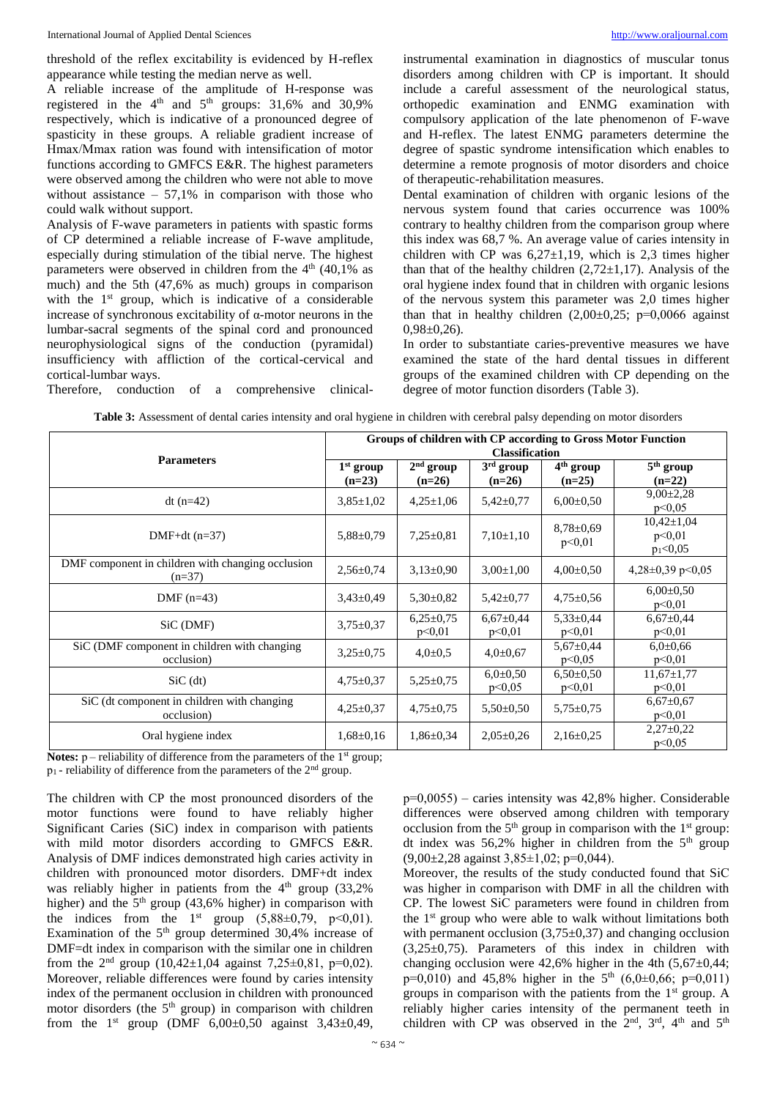threshold of the reflex excitability is evidenced by H-reflex appearance while testing the median nerve as well.

A reliable increase of the amplitude of H-response was registered in the  $4<sup>th</sup>$  and  $5<sup>th</sup>$  groups: 31,6% and 30,9% respectively, which is indicative of a pronounced degree of spasticity in these groups. A reliable gradient increase of Нmах/Мmах ration was found with intensification of motor functions according to GMFCS E&R. The highest parameters were observed among the children who were not able to move without assistance  $-57.1\%$  in comparison with those who could walk without support.

Analysis of F-wave parameters in patients with spastic forms of CP determined a reliable increase of F-wave amplitude, especially during stimulation of the tibial nerve. The highest parameters were observed in children from the  $4<sup>th</sup>$  (40,1% as much) and the 5th (47,6% as much) groups in comparison with the 1<sup>st</sup> group, which is indicative of a considerable increase of synchronous excitability of α-motor neurons in the lumbar-sacral segments of the spinal cord and pronounced neurophysiological signs of the conduction (pyramidal) insufficiency with affliction of the cortical-cervical and cortical-lumbar ways.

instrumental examination in diagnostics of muscular tonus disorders among children with CP is important. It should include a careful assessment of the neurological status, orthopedic examination and ENMG examination with compulsory application of the late phenomenon of F-wave and H-reflex. The latest ENMG parameters determine the degree of spastic syndrome intensification which enables to determine a remote prognosis of motor disorders and choice of therapeutic-rehabilitation measures.

Dental examination of children with organic lesions of the nervous system found that caries occurrence was 100% contrary to healthy children from the comparison group where this index was 68,7 %. An average value of caries intensity in children with CP was  $6,27\pm1,19$ , which is 2,3 times higher than that of the healthy children  $(2,72\pm1,17)$ . Analysis of the oral hygiene index found that in children with organic lesions of the nervous system this parameter was 2,0 times higher than that in healthy children  $(2,00\pm0,25; \, p=0,0066)$  against  $0,98\pm0,26$ .

In order to substantiate caries-preventive measures we have examined the state of the hard dental tissues in different groups of the examined children with CP depending on the degree of motor function disorders (Table 3).

Therefore, conduction of a comprehensive clinical-

**Table 3:** Assessment of dental caries intensity and oral hygiene in children with cerebral palsy depending on motor disorders

|                                                               | Groups of children with CP according to Gross Motor Function<br><b>Classification</b> |                         |                           |                                   |                                          |  |
|---------------------------------------------------------------|---------------------------------------------------------------------------------------|-------------------------|---------------------------|-----------------------------------|------------------------------------------|--|
| <b>Parameters</b>                                             | $1st$ group<br>$(n=23)$                                                               | $2nd$ group<br>$(n=26)$ | $3rd$ group<br>$(n=26)$   | 4 <sup>th</sup> group<br>$(n=25)$ | $5th$ group<br>$(n=22)$                  |  |
| dt $(n=42)$                                                   | $3,85 \pm 1,02$                                                                       | $4,25\pm1,06$           | $5,42\pm0,77$             | $6,00\pm0.50$                     | $9,00\pm2,28$<br>p<0.05                  |  |
| DMF+dt $(n=37)$                                               | $5,88 \pm 0,79$                                                                       | $7,25 \pm 0.81$         | $7,10\pm1,10$             | $8,78 \pm 0.69$<br>p<0.01         | $10,42 \pm 1,04$<br>p<0.01<br>$p_1<0.05$ |  |
| DMF component in children with changing occlusion<br>$(n=37)$ | $2,56 \pm 0.74$                                                                       | $3,13\pm0,90$           | $3.00 \pm 1.00$           | $4,00\pm0,50$                     | $4,28\pm0,39$ p < 0,05                   |  |
| DMF $(n=43)$                                                  | $3,43\pm0,49$                                                                         | $5,30\pm0,82$           | $5,42\pm0.77$             | $4,75 \pm 0.56$                   | $6,00\pm0.50$<br>p<0.01                  |  |
| SiC (DMF)                                                     | $3,75 \pm 0.37$                                                                       | $6,25\pm0.75$<br>p<0.01 | $6,67{\pm}0,44$<br>p<0.01 | $5,33\pm0,44$<br>p<0.01           | $6,67{\pm}0,44$<br>p<0.01                |  |
| SiC (DMF component in children with changing<br>occlusion)    | $3,25\pm0.75$                                                                         | $4,0{\pm}0,5$           | $4,0 \pm 0.67$            | $5,67{\pm}0,44$<br>p<0.05         | $6.0 \pm 0.66$<br>p<0.01                 |  |
| $SiC$ (dt)                                                    | $4,75 \pm 0,37$                                                                       | $5,25\pm0.75$           | $6,0{\pm}0,50$<br>p<0.05  | $6,50\pm0.50$<br>p<0.01           | $11,67 \pm 1,77$<br>p<0.01               |  |
| SiC (dt component in children with changing<br>occlusion)     | $4,25\pm0.37$                                                                         | $4,75 \pm 0.75$         | $5,50\pm0.50$             | $5,75 \pm 0.75$                   | $6,67{\pm}0,67$<br>p<0.01                |  |
| Oral hygiene index                                            | $1,68 \pm 0,16$                                                                       | $1,86 \pm 0,34$         | $2,05\pm0,26$             | $2,16\pm0.25$                     | $2,27\pm0,22$<br>p<0.05                  |  |

**Notes:**  $p$  – reliability of difference from the parameters of the 1<sup>st</sup> group;  $p_1$  - reliability of difference from the parameters of the  $2<sup>nd</sup>$  group.

The children with CP the most pronounced disorders of the motor functions were found to have reliably higher Significant Caries (SiC) index in comparison with patients with mild motor disorders according to GMFCS E&R. Analysis of DMF indices demonstrated high caries activity in children with pronounced motor disorders. DMF+dt index was reliably higher in patients from the  $4<sup>th</sup>$  group (33,2%) higher) and the  $5<sup>th</sup>$  group (43,6% higher) in comparison with the indices from the  $1^{st}$  group  $(5,88\pm0,79, p<0,01)$ . Examination of the  $5<sup>th</sup>$  group determined 30,4% increase of DMF=dt index in comparison with the similar one in children from the  $2^{nd}$  group  $(10,42\pm1,04)$  against  $7,25\pm0,81$ , p=0,02). Moreover, reliable differences were found by caries intensity index of the permanent occlusion in children with pronounced motor disorders (the  $5<sup>th</sup>$  group) in comparison with children from the  $1^{st}$  group (DMF  $6,00\pm0,50$  against  $3,43\pm0,49$ ,

р=0,0055) – caries intensity was 42,8% higher. Considerable differences were observed among children with temporary occlusion from the  $5<sup>th</sup>$  group in comparison with the  $1<sup>st</sup>$  group: dt index was  $56,2\%$  higher in children from the  $5<sup>th</sup>$  group  $(9,00\pm2,28 \text{ against } 3,85\pm1,02; \text{p=0},044).$ 

Moreover, the results of the study conducted found that SіС was higher in comparison with DMF in all the children with CP. The lowest SіС parameters were found in children from the  $1<sup>st</sup>$  group who were able to walk without limitations both with permanent occlusion  $(3,75\pm0,37)$  and changing occlusion  $(3,25\pm0,75)$ . Parameters of this index in children with changing occlusion were  $42,6\%$  higher in the 4th  $(5,67\pm0,44;$  $p=0,010$ ) and 45,8% higher in the 5<sup>th</sup> (6,0±0,66; p=0,011) groups in comparison with the patients from the  $1<sup>st</sup>$  group. A reliably higher caries intensity of the permanent teeth in children with CP was observed in the  $2<sup>nd</sup>$ ,  $3<sup>rd</sup>$ ,  $4<sup>th</sup>$  and  $5<sup>th</sup>$